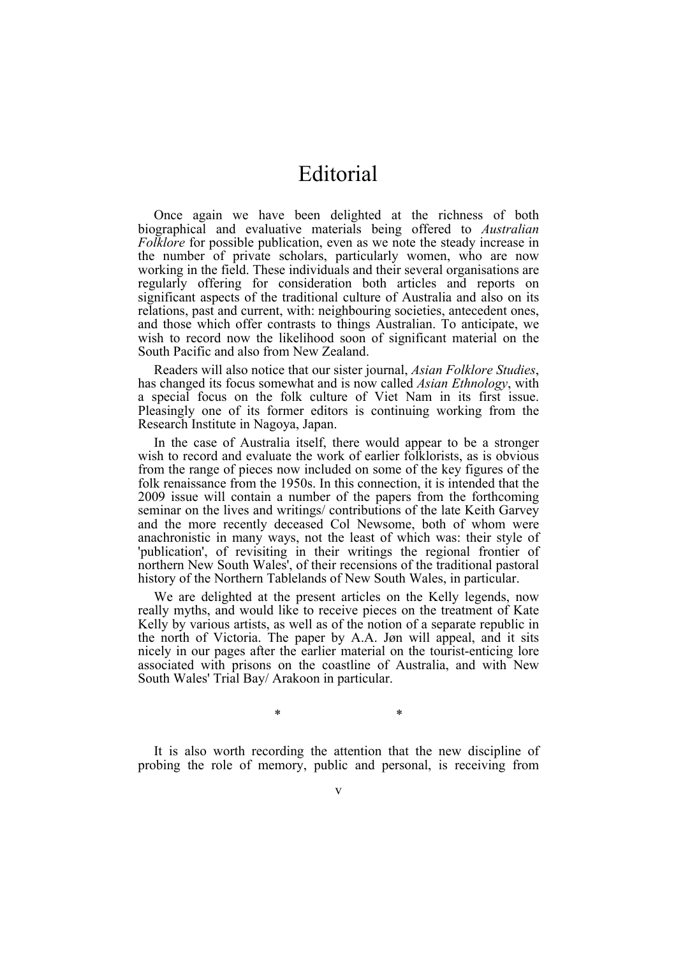## Editorial

Once again we have been delighted at the richness of both biographical and evaluative materials being offered to *Australian Folklore* for possible publication, even as we note the steady increase in the number of private scholars, particularly women, who are now working in the field. These individuals and their several organisations are regularly offering for consideration both articles and reports on significant aspects of the traditional culture of Australia and also on its relations, past and current, with: neighbouring societies, antecedent ones, and those which offer contrasts to things Australian. To anticipate, we wish to record now the likelihood soon of significant material on the South Pacific and also from New Zealand.

Readers will also notice that our sister journal, *Asian Folklore Studies*, has changed its focus somewhat and is now called *Asian Ethnology*, with a special focus on the folk culture of Viet Nam in its first issue. Pleasingly one of its former editors is continuing working from the Research Institute in Nagoya, Japan.

In the case of Australia itself, there would appear to be a stronger wish to record and evaluate the work of earlier folklorists, as is obvious from the range of pieces now included on some of the key figures of the folk renaissance from the 1950s. In this connection, it is intended that the 2009 issue will contain a number of the papers from the forthcoming seminar on the lives and writings/ contributions of the late Keith Garvey and the more recently deceased Col Newsome, both of whom were anachronistic in many ways, not the least of which was: their style of 'publication', of revisiting in their writings the regional frontier of northern New South Wales', of their recensions of the traditional pastoral history of the Northern Tablelands of New South Wales, in particular.

We are delighted at the present articles on the Kelly legends, now really myths, and would like to receive pieces on the treatment of Kate Kelly by various artists, as well as of the notion of a separate republic in the north of Victoria. The paper by A.A. Jøn will appeal, and it sits nicely in our pages after the earlier material on the tourist-enticing lore associated with prisons on the coastline of Australia, and with New South Wales' Trial Bay/ Arakoon in particular.

It is also worth recording the attention that the new discipline of probing the role of memory, public and personal, is receiving from

\* \*